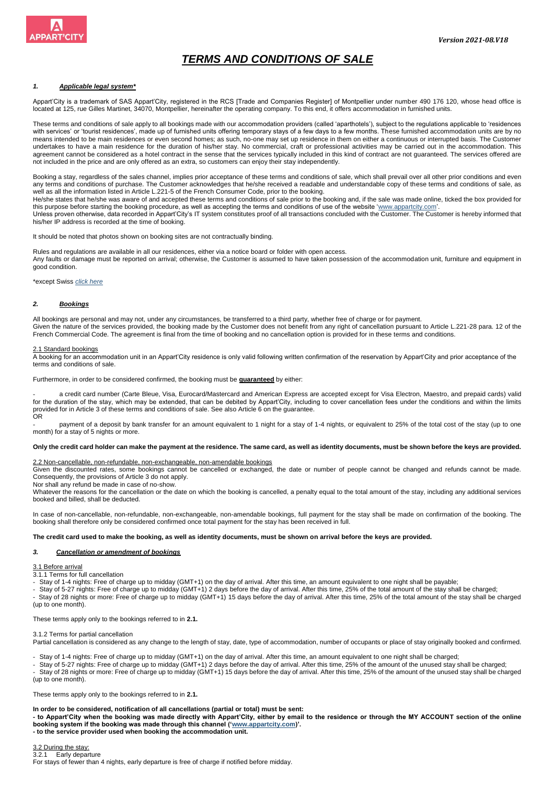

# *TERMS AND CONDITIONS OF SALE*

# *1. Applicable legal system\**

Appart'City is a trademark of SAS Appart'City, registered in the RCS [Trade and Companies Register] of Montpellier under number 490 176 120, whose head office is located at 125, rue Gilles Martinet, 34070, Montpellier, hereinafter the operating company. To this end, it offers accommodation in furnished units.

These terms and conditions of sale apply to all bookings made with our accommodation providers (called 'aparthotels'), subject to the regulations applicable to 'residences with services' or 'tourist residences', made up of furnished units offering temporary stays of a few days to a few months. These furnished accommodation units are by no means intended to be main residences or even second homes; as such, no-one may set up residence in them on either a continuous or interrupted basis. The Customer undertakes to have a main residence for the duration of his/her stay. No commercial, craft or professional activities may be carried out in the accommodation. This agreement cannot be considered as a hotel contract in the sense that the services typically included in this kind of contract are not guaranteed. The services offered are not included in the price and are only offered as an extra, so customers can enjoy their stay independently.

Booking a stay, regardless of the sales channel, implies prior acceptance of these terms and conditions of sale, which shall prevail over all other prior conditions and even any terms and conditions of purchase. The Customer acknowledges that he/she received a readable and understandable copy of these terms and conditions of sale, as well as all the information listed in Article L.221-5 of the French Consumer Code, prior to the booking. He/she states that he/she was aware of and accepted these terms and conditions of sale prior to the booking and, if the sale was made online, ticked the box provided for

this purpose before starting the booking procedure, as well as accepting the terms and conditions of use of the website 'www.appartcity.com'.

Unless proven otherwise, data recorded in Appart'City's IT system constitutes proof of all transactions concluded with the Customer. The Customer is hereby informed that his/her IP address is recorded at the time of booking.

It should be noted that photos shown on booking sites are not contractually binding.

Rules and regulations are available in all our residences, either via a notice board or folder with open access. Any faults or damage must be reported on arrival; otherwise, the Customer is assumed to have taken possession of the accommodation unit, furniture and equipment in good condition.

#### \*except Swiss *click here*

## *2. Bookings*

All bookings are personal and may not, under any circumstances, be transferred to a third party, whether free of charge or for payment. Given the nature of the services provided, the booking made by the Customer does not benefit from any right of cancellation pursuant to Article L.221-28 para. 12 of the French Commercial Code. The agreement is final from the time of booking and no cancellation option is provided for in these terms and conditions.

## 2.1 Standard bookings

A booking for an accommodation unit in an Appart'City residence is only valid following written confirmation of the reservation by Appart'City and prior acceptance of the terms and conditions of sale.

Furthermore, in order to be considered confirmed, the booking must be **guaranteed** by either:

a credit card number (Carte Bleue, Visa, Eurocard/Mastercard and American Express are accepted except for Visa Electron, Maestro, and prepaid cards) valid for the duration of the stay, which may be extended, that can be debited by Appart'City, including to cover cancellation fees under the conditions and within the limits provided for in Article 3 of these terms and conditions of sale. See also Article 6 on the guarantee. OR

payment of a deposit by bank transfer for an amount equivalent to 1 night for a stay of 1-4 nights, or equivalent to 25% of the total cost of the stay (up to one month) for a stay of 5 nights or more.

### **Only the credit card holder can make the payment at the residence. The same card, as well as identity documents, must be shown before the keys are provided.**

2.2 Non-cancellable, non-refundable, non-exchangeable, non-amendable bookings

Given the discounted rates, some bookings cannot be cancelled or exchanged, the date or number of people cannot be changed and refunds cannot be made. Consequently, the provisions of Article 3 do not apply.

Nor shall any refund be made in case of no-show.

Whatever the reasons for the cancellation or the date on which the booking is cancelled, a penalty equal to the total amount of the stay, including any additional services booked and billed, shall be deducted.

In case of non-cancellable, non-refundable, non-exchangeable, non-amendable bookings, full payment for the stay shall be made on confirmation of the booking. The booking shall therefore only be considered confirmed once total payment for the stay has been received in full.

## **The credit card used to make the booking, as well as identity documents, must be shown on arrival before the keys are provided.**

## *3. Cancellation or amendment of bookings*

#### 3.1 Before arrival

3.1.1 Terms for full cancellation

- Stay of 1-4 nights: Free of charge up to midday (GMT+1) on the day of arrival. After this time, an amount equivalent to one night shall be payable;

- Stay of 5-27 nights: Free of charge up to midday (GMT+1) 2 days before the day of arrival. After this time, 25% of the total amount of the stay shall be charged;

- - Stay of 28 nights or more: Free of charge up to midday (GMT+1) 15 days before the day of arrival. After this time, 25% of the total amount of the stay shall be charged (up to one month).

These terms apply only to the bookings referred to in **2.1.**

#### 3.1.2 Terms for partial cancellation

Partial cancellation is considered as any change to the length of stay, date, type of accommodation, number of occupants or place of stay originally booked and confirmed.

- Stay of 1-4 nights: Free of charge up to midday (GMT+1) on the day of arrival. After this time, an amount equivalent to one night shall be charged;

- Stay of 5-27 nights: Free of charge up to midday (GMT+1) 2 days before the day of arrival. After this time, 25% of the amount of the unused stay shall be charged;

- Stay of 28 nights or more: Free of charge up to midday (GMT+1) 15 days before the day of arrival. After this time, 25% of the amount of the unused stay shall be charged (up to one month).

These terms apply only to the bookings referred to in **2.1.**

## **In order to be considered, notification of all cancellations (partial or total) must be sent:**

**- to Appart'City when the booking was made directly with Appart'City, either by email to the residence or through the MY ACCOUNT section of the online booking system if the booking was made through this channel [\('www.appartcity.com\)'](http://www.appartcity.com/). - to the service provider used when booking the accommodation unit.**

3.2 During the stay: 3.2.1 Early departure For stays of fewer than 4 nights, early departure is free of charge if notified before midday.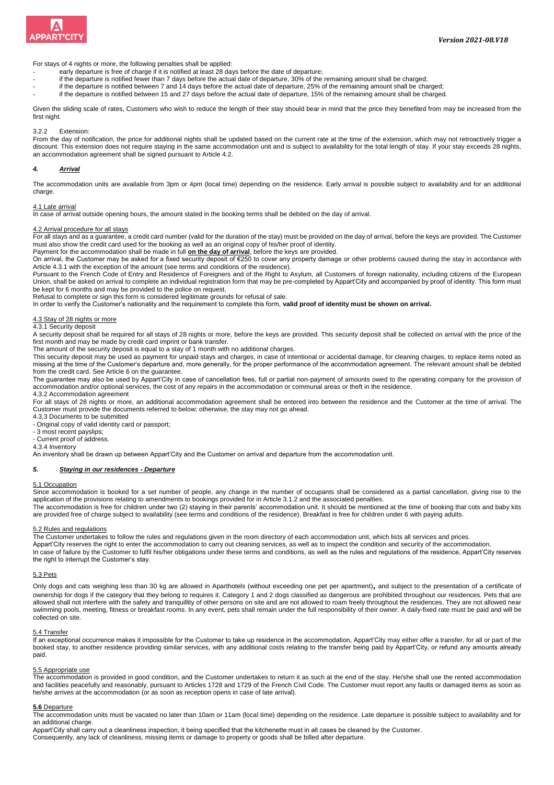

For stays of 4 nights or more, the following penalties shall be applied:

- early departure is free of charge if it is notified at least 28 days before the date of departure;
- if the departure is notified fewer than 7 days before the actual date of departure, 30% of the remaining amount shall be charged;
- if the departure is notified between 7 and 14 days before the actual date of departure, 25% of the remaining amount shall be charged;
- if the departure is notified between 15 and 27 days before the actual date of departure, 15% of the remaining amount shall be charged.

Given the sliding scale of rates, Customers who wish to reduce the length of their stay should bear in mind that the price they benefited from may be increased from the first night.

3.2.2 Extension:

From the day of notification, the price for additional nights shall be updated based on the current rate at the time of the extension, which may not retroactively trigger a discount. This extension does not require staying in the same accommodation unit and is subject to availability for the total length of stay. If your stay exceeds 28 nights, an accommodation agreement shall be signed pursuant to Article 4.2.

## *4. Arrival*

The accommodation units are available from 3pm or 4pm (local time) depending on the residence. Early arrival is possible subject to availability and for an additional charge.

## 4.1 Late arrival

In case of arrival outside opening hours, the amount stated in the booking terms shall be debited on the day of arrival.

# 4.2 Arrival procedure for all stays

For all stays and as a guarantee, a credit card number (valid for the duration of the stay) must be provided on the day of arrival, before the keys are provided. The Customer must also show the credit card used for the booking as well as an original copy of his/her proof of identity. Payment for the accommodation shall be made in full **on the day of arrival**, before the keys are provided.

On arrival, the Customer may be asked for a fixed security deposit of  $E250$  to cover any property damage or other problems caused during the stay in accordance with Article 4.3.1 with the exception of the amount (see terms and conditions of the residence).

Pursuant to the French Code of Entry and Residence of Foreigners and of the Right to Asylum, all Customers of foreign nationality, including citizens of the European Union, shall be asked on arrival to complete an individual registration form that may be pre-completed by Appart'City and accompanied by proof of identity. This form must be kept for 6 months and may be provided to the police on request.

Refusal to complete or sign this form is considered legitimate grounds for refusal of sale.<br>In order to verify the Customer's nationality and the requirement to complete this form, **valid proof of identity must be shown on** 

## 4.3 Stay of 28 nights or more

4.3.1 Security deposit

A security deposit shall be required for all stays of 28 nights or more, before the keys are provided. This security deposit shall be collected on arrival with the price of the first month and may be made by credit card imprint or bank transfer.

The amount of the security deposit is equal to a stay of 1 month with no additional charges.

This security deposit may be used as payment for unpaid stays and charges, in case of intentional or accidental damage, for cleaning charges, to replace items noted as missing at the time of the Customer's departure and, more generally, for the proper performance of the accommodation agreement. The relevant amount shall be debited from the credit card. See Article 6 on the guarantee.

The guarantee may also be used by Appart'City in case of cancellation fees, full or partial non-payment of amounts owed to the operating company for the provision of accommodation and/or optional services, the cost of any repairs in the accommodation or communal areas or theft in the residence. 4.3.2 Accommodation agreement

For all stays of 28 nights or more, an additional accommodation agreement shall be entered into between the residence and the Customer at the time of arrival. The Customer must provide the documents referred to below; otherwise, the stay may not go ahead.

4.3.3 Documents to be submitted

- Original copy of valid identity card or passport;

- 3 most recent payslips; - Current proof of address.

4.3.4 Inventory

An inventory shall be drawn up between Appart'City and the Customer on arrival and departure from the accommodation unit.

#### *5. Staying in our residences - Departure*

#### 5.1 Occupation

Since accommodation is booked for a set number of people, any change in the number of occupants shall be considered as a partial cancellation, giving rise to the application of the provisions relating to amendments to bookings provided for in Article 3.1.2 and the associated penalties.

The accommodation is free for children under two (2) staying in their parents' accommodation unit. It should be mentioned at the time of booking that cots and baby kits are provided free of charge subject to availability (see terms and conditions of the residence). Breakfast is free for children under 6 with paying adults.

#### 5.2 Rules and regulations

The Customer undertakes to follow the rules and regulations given in the room directory of each accommodation unit, which lists all services and prices.

Appart'City reserves the right to enter the accommodation to carry out cleaning services, as well as to inspect the condition and security of the accommodation. In case of failure by the Customer to fulfil his/her obligations under these terms and conditions, as well as the rules and regulations of the residence, Appart'City reserves

the right to interrupt the Customer's stay.

## 5.3 Pets

Only dogs and cats weighing less than 30 kg are allowed in Aparthotels (without exceeding one pet per apartment)*,* and subject to the presentation of a certificate of ownership for dogs if the category that they belong to requires it. Category 1 and 2 dogs classified as dangerous are prohibited throughout our residences. Pets that are allowed shall not interfere with the safety and tranquillity of other persons on site and are not allowed to roam freely throughout the residences. They are not allowed near swimming pools, meeting, fitness or breakfast rooms. In any event, pets shall remain under the full responsibility of their owner. A daily-fixed rate must be paid and will be collected on site.

## 5.4 Transfer

If an exceptional occurrence makes it impossible for the Customer to take up residence in the accommodation, Appart'City may either offer a transfer, for all or part of the booked stay, to another residence providing similar services, with any additional costs relating to the transfer being paid by Appart'City, or refund any amounts already paid.

#### 5.5 Appropriate use

The accommodation is provided in good condition, and the Customer undertakes to return it as such at the end of the stay. He/she shall use the rented accommodation and facilities peacefully and reasonably, pursuant to Articles 1728 and 1729 of the French Civil Code. The Customer must report any faults or damaged items as soon as he/she arrives at the accommodation (or as soon as reception opens in case of late arrival).

## **5.6** Departure

The accommodation units must be vacated no later than 10am or 11am (local time) depending on the residence. Late departure is possible subject to availability and for an additional charge.

Appart'City shall carry out a cleanliness inspection, it being specified that the kitchenette must in all cases be cleaned by the Customer. Consequently, any lack of cleanliness, missing items or damage to property or goods shall be billed after departure.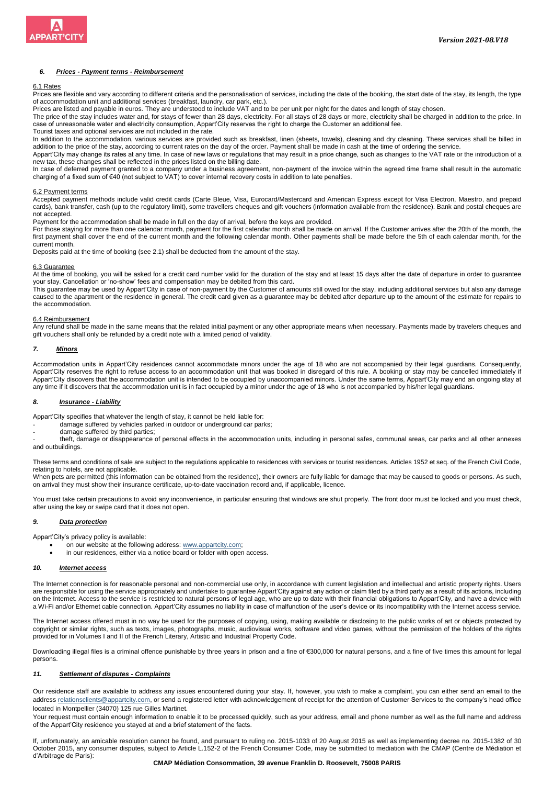

## *6. Prices - Payment terms - Reimbursement*

## 6.1 Rates

Prices are flexible and vary according to different criteria and the personalisation of services, including the date of the booking, the start date of the stay, its length, the type of accommodation unit and additional services (breakfast, laundry, car park, etc.).

Prices are listed and payable in euros. They are understood to include VAT and to be per unit per night for the dates and length of stay chosen.

The price of the stay includes water and, for stays of fewer than 28 days, electricity. For all stays of 28 days or more, electricity shall be charged in addition to the price. In case of unreasonable water and electricity consumption, Appart'City reserves the right to charge the Customer an additional fee.

Tourist taxes and optional services are not included in the rate. In addition to the accommodation, various services are provided such as breakfast, linen (sheets, towels), cleaning and dry cleaning. These services shall be billed in addition to the price of the stay, according to current rates on the day of the order. Payment shall be made in cash at the time of ordering the service.

Appart'City may change its rates at any time. In case of new laws or regulations that may result in a price change, such as changes to the VAT rate or the introduction of a new tax, these changes shall be reflected in the prices listed on the billing date.

In case of deferred payment granted to a company under a business agreement, non-payment of the invoice within the agreed time frame shall result in the automatic charging of a fixed sum of €40 (not subject to VAT) to cover internal recovery costs in addition to late penalties.

### 6.2 Payment terms

Accepted payment methods include valid credit cards (Carte Bleue, Visa, Eurocard/Mastercard and American Express except for Visa Electron, Maestro, and prepaid cards), bank transfer, cash (up to the regulatory limit), some travellers cheques and gift vouchers (information available from the residence). Bank and postal cheques are not accepted.

Payment for the accommodation shall be made in full on the day of arrival, before the keys are provided.

For those staying for more than one calendar month, payment for the first calendar month shall be made on arrival. If the Customer arrives after the 20th of the month, the first payment shall cover the end of the current month and the following calendar month. Other payments shall be made before the 5th of each calendar month, for the current month.

Deposits paid at the time of booking (see 2.1) shall be deducted from the amount of the stay.

#### 6.3 Guarantee

At the time of booking, you will be asked for a credit card number valid for the duration of the stay and at least 15 days after the date of departure in order to guarantee your stay. Cancellation or 'no-show' fees and compensation may be debited from this card.

This guarantee may be used by Appart'City in case of non-payment by the Customer of amounts still owed for the stay, including additional services but also any damage caused to the apartment or the residence in general. The credit card given as a guarantee may be debited after departure up to the amount of the estimate for repairs to the accommodation.

## 6.4 Reimbursement

Any refund shall be made in the same means that the related initial payment or any other appropriate means when necessary. Payments made by travelers cheques and gift vouchers shall only be refunded by a credit note with a limited period of validity.

## *7. Minors*

Accommodation units in Appart'City residences cannot accommodate minors under the age of 18 who are not accompanied by their legal guardians. Consequently, Appart'City reserves the right to refuse access to an accommodation unit that was booked in disregard of this rule. A booking or stay may be cancelled immediately if Appart'City discovers that the accommodation unit is intended to be occupied by unaccompanied minors. Under the same terms, Appart'City may end an ongoing stay at any time if it discovers that the accommodation unit is in fact occupied by a minor under the age of 18 who is not accompanied by his/her legal guardians.

### *8. Insurance - Liability*

Appart'City specifies that whatever the length of stay, it cannot be held liable for:

- damage suffered by vehicles parked in outdoor or underground car parks;
- damage suffered by third parties;

- theft, damage or disappearance of personal effects in the accommodation units, including in personal safes, communal areas, car parks and all other annexes and outbuildings.

These terms and conditions of sale are subject to the regulations applicable to residences with services or tourist residences. Articles 1952 et seq. of the French Civil Code, relating to hotels, are not applicable.

When pets are permitted (this information can be obtained from the residence), their owners are fully liable for damage that may be caused to goods or persons. As such, on arrival they must show their insurance certificate, up-to-date vaccination record and, if applicable, licence.

You must take certain precautions to avoid any inconvenience, in particular ensuring that windows are shut properly. The front door must be locked and you must check, after using the key or swipe card that it does not open.

## *9. Data protection*

Appart'City's privacy policy is available:

- on our website at the following address: www.appartcity.com;
- in our residences, either via a notice board or folder with open access.

# *10. Internet access*

The Internet connection is for reasonable personal and non-commercial use only, in accordance with current legislation and intellectual and artistic property rights. Users are responsible for using the service appropriately and undertake to guarantee Appart'City against any action or claim filed by a third party as a result of its actions, including on the Internet. Access to the service is restricted to natural persons of legal age, who are up to date with their financial obligations to Appart'City, and have a device with a Wi-Fi and/or Ethernet cable connection. Appart'City assumes no liability in case of malfunction of the user's device or its incompatibility with the Internet access service.

The Internet access offered must in no way be used for the purposes of copying, using, making available or disclosing to the public works of art or objects protected by copyright or similar rights, such as texts, images, photographs, music, audiovisual works, software and video games, without the permission of the holders of the rights provided for in Volumes I and II of the French Literary, Artistic and Industrial Property Code.

Downloading illegal files is a criminal offence punishable by three years in prison and a fine of €300,000 for natural persons, and a fine of five times this amount for legal persons.

#### *11. Settlement of disputes - Complaints*

Our residence staff are available to address any issues encountered during your stay. If, however, you wish to make a complaint, you can either send an email to the address relationsclients@appartcity.com, or send a registered letter with acknowledgement of receipt for the attention of Customer Services to the company's head office located in Montpellier (34070) 125 rue Gilles Martinet.

Your request must contain enough information to enable it to be processed quickly, such as your address, email and phone number as well as the full name and address of the Appart'City residence you stayed at and a brief statement of the facts.

If, unfortunately, an amicable resolution cannot be found, and pursuant to ruling no. 2015-1033 of 20 August 2015 as well as implementing decree no. 2015-1382 of 30 October 2015, any consumer disputes, subject to Article L.152-2 of the French Consumer Code, may be submitted to mediation with the CMAP (Centre de Médiation et d'Arbitrage de Paris):

#### **CMAP Médiation Consommation, 39 avenue Franklin D. Roosevelt, 75008 PARIS**